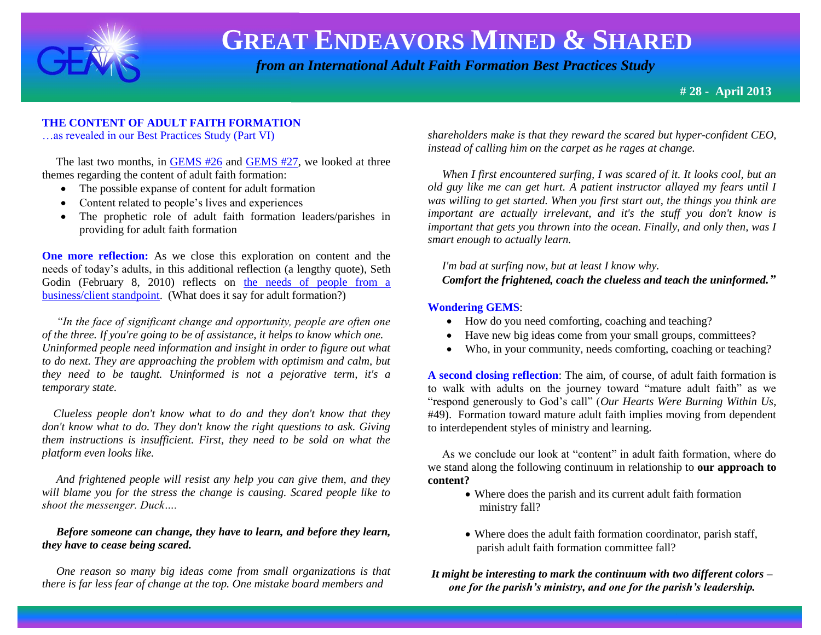

# **GREAT ENDEAVORS MINED & SHARED**

 *from an International Adult Faith Formation Best Practices Study*

**# 28 - April 2013**

### **THE CONTENT OF ADULT FAITH FORMATION**

…as revealed in our Best Practices Study (Part VI)

 The last two months, in [GEMS #26](http://www.janetschaeffler.com/GEMS__26.pdf) and [GEMS #27,](http://www.janetschaeffler.com/GEMS__27.pdf) we looked at three themes regarding the content of adult faith formation:

- The possible expanse of content for adult formation
- Content related to people's lives and experiences
- The prophetic role of adult faith formation leaders/parishes in providing for adult faith formation

**One more reflection:** As we close this exploration on content and the needs of today's adults, in this additional reflection (a lengthy quote), Seth Godin (February 8, 2010) reflects on [the needs of people from a](http://sethgodin.typepad.com/seths_blog/2010/02/frightenedcluelessuninformed.html)  [business/client standpoint.](http://sethgodin.typepad.com/seths_blog/2010/02/frightenedcluelessuninformed.html) (What does it say for adult formation?)

 *"In the face of significant change and opportunity, people are often one of the three. If you're going to be of assistance, it helps to know which one. Uninformed people need information and insight in order to figure out what to do next. They are approaching the problem with optimism and calm, but they need to be taught. Uninformed is not a pejorative term, it's a temporary state.*

 *Clueless people don't know what to do and they don't know that they don't know what to do. They don't know the right questions to ask. Giving them instructions is insufficient. First, they need to be sold on what the platform even looks like.*

 *And frightened people will resist any help you can give them, and they will blame you for the stress the change is causing. Scared people like to shoot the messenger. Duck….*

#### *Before someone can change, they have to learn, and before they learn, they have to cease being scared.*

 *One reason so many big ideas come from small organizations is that there is far less fear of change at the top. One mistake board members and* 

*shareholders make is that they reward the scared but hyper-confident CEO, instead of calling him on the carpet as he rages at change.*

 *When I first encountered surfing, I was scared of it. It looks cool, but an old guy like me can get hurt. A patient instructor allayed my fears until I was willing to get started. When you first start out, the things you think are important are actually irrelevant, and it's the stuff you don't know is important that gets you thrown into the ocean. Finally, and only then, was I smart enough to actually learn.*

 *I'm bad at surfing now, but at least I know why. Comfort the frightened, coach the clueless and teach the uninformed."*

#### **Wondering GEMS**:

- How do you need comforting, coaching and teaching?
- Have new big ideas come from your small groups, committees?
- Who, in your community, needs comforting, coaching or teaching?

**A second closing reflection**: The aim, of course, of adult faith formation is to walk with adults on the journey toward "mature adult faith" as we "respond generously to God's call" (*Our Hearts Were Burning Within Us*, #49). Formation toward mature adult faith implies moving from dependent to interdependent styles of ministry and learning.

 As we conclude our look at "content" in adult faith formation, where do we stand along the following continuum in relationship to **our approach to content?**

- Where does the parish and its current adult faith formation ministry fall?
- Where does the adult faith formation coordinator, parish staff, parish adult faith formation committee fall?

*It might be interesting to mark the continuum with two different colors – one for the parish's ministry, and one for the parish's leadership.*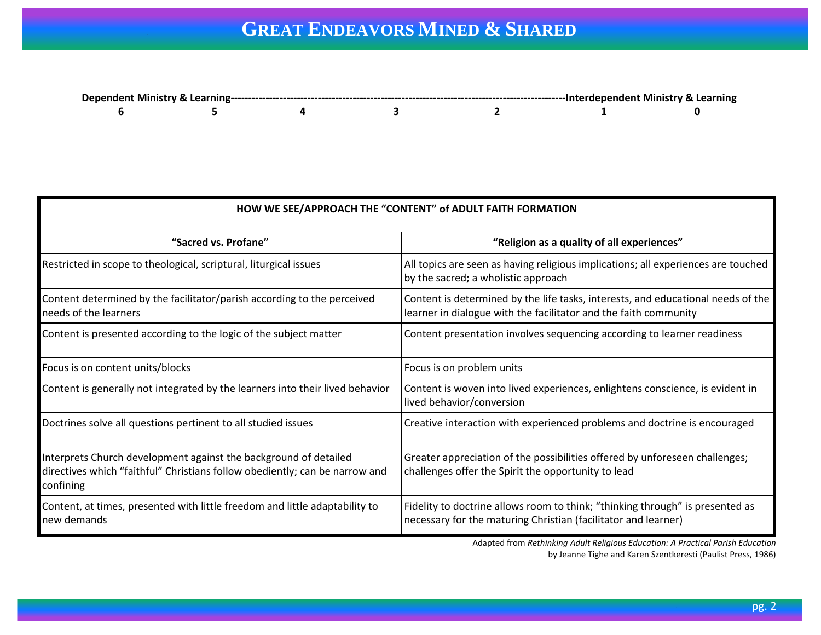| HOW WE SEE/APPROACH THE "CONTENT" of ADULT FAITH FORMATION                                                                                                   |                                                                                                                                                      |  |  |  |  |
|--------------------------------------------------------------------------------------------------------------------------------------------------------------|------------------------------------------------------------------------------------------------------------------------------------------------------|--|--|--|--|
| "Sacred vs. Profane"                                                                                                                                         | "Religion as a quality of all experiences"                                                                                                           |  |  |  |  |
| Restricted in scope to theological, scriptural, liturgical issues                                                                                            | All topics are seen as having religious implications; all experiences are touched<br>by the sacred; a wholistic approach                             |  |  |  |  |
| Content determined by the facilitator/parish according to the perceived<br>needs of the learners                                                             | Content is determined by the life tasks, interests, and educational needs of the<br>learner in dialogue with the facilitator and the faith community |  |  |  |  |
| Content is presented according to the logic of the subject matter                                                                                            | Content presentation involves sequencing according to learner readiness                                                                              |  |  |  |  |
| Focus is on content units/blocks                                                                                                                             | Focus is on problem units                                                                                                                            |  |  |  |  |
| Content is generally not integrated by the learners into their lived behavior                                                                                | Content is woven into lived experiences, enlightens conscience, is evident in<br>lived behavior/conversion                                           |  |  |  |  |
| Doctrines solve all questions pertinent to all studied issues                                                                                                | Creative interaction with experienced problems and doctrine is encouraged                                                                            |  |  |  |  |
| Interprets Church development against the background of detailed<br>directives which "faithful" Christians follow obediently; can be narrow and<br>confining | Greater appreciation of the possibilities offered by unforeseen challenges;<br>challenges offer the Spirit the opportunity to lead                   |  |  |  |  |
| Content, at times, presented with little freedom and little adaptability to<br>new demands                                                                   | Fidelity to doctrine allows room to think; "thinking through" is presented as<br>necessary for the maturing Christian (facilitator and learner)      |  |  |  |  |

Adapted from *Rethinking Adult Religious Education: A Practical Parish Education* by Jeanne Tighe and Karen Szentkeresti (Paulist Press, 1986)